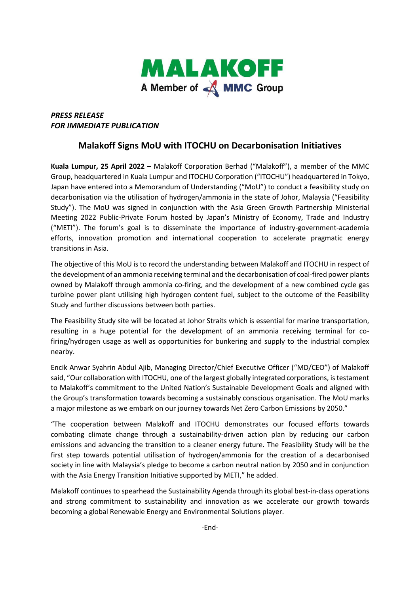

## *PRESS RELEASE FOR IMMEDIATE PUBLICATION*

## **Malakoff Signs MoU with ITOCHU on Decarbonisation Initiatives**

**Kuala Lumpur, 25 April 2022 –** Malakoff Corporation Berhad ("Malakoff"), a member of the MMC Group, headquartered in Kuala Lumpur and ITOCHU Corporation ("ITOCHU") headquartered in Tokyo, Japan have entered into a Memorandum of Understanding ("MoU") to conduct a feasibility study on decarbonisation via the utilisation of hydrogen/ammonia in the state of Johor, Malaysia ("Feasibility Study"). The MoU was signed in conjunction with the Asia Green Growth Partnership Ministerial Meeting 2022 Public-Private Forum hosted by Japan's Ministry of Economy, Trade and Industry ("METI"). The forum's goal is to disseminate the importance of industry-government-academia efforts, innovation promotion and international cooperation to accelerate pragmatic energy transitions in Asia.

The objective of this MoU is to record the understanding between Malakoff and ITOCHU in respect of the development of an ammonia receiving terminal and the decarbonisation of coal-fired power plants owned by Malakoff through ammonia co-firing, and the development of a new combined cycle gas turbine power plant utilising high hydrogen content fuel, subject to the outcome of the Feasibility Study and further discussions between both parties.

The Feasibility Study site will be located at Johor Straits which is essential for marine transportation, resulting in a huge potential for the development of an ammonia receiving terminal for cofiring/hydrogen usage as well as opportunities for bunkering and supply to the industrial complex nearby.

Encik Anwar Syahrin Abdul Ajib, Managing Director/Chief Executive Officer ("MD/CEO") of Malakoff said, "Our collaboration with ITOCHU, one of the largest globally integrated corporations, is testament to Malakoff's commitment to the United Nation's Sustainable Development Goals and aligned with the Group's transformation towards becoming a sustainably conscious organisation. The MoU marks a major milestone as we embark on our journey towards Net Zero Carbon Emissions by 2050."

"The cooperation between Malakoff and ITOCHU demonstrates our focused efforts towards combating climate change through a sustainability-driven action plan by reducing our carbon emissions and advancing the transition to a cleaner energy future. The Feasibility Study will be the first step towards potential utilisation of hydrogen/ammonia for the creation of a decarbonised society in line with Malaysia's pledge to become a carbon neutral nation by 2050 and in conjunction with the Asia Energy Transition Initiative supported by METI," he added.

Malakoff continues to spearhead the Sustainability Agenda through its global best-in-class operations and strong commitment to sustainability and innovation as we accelerate our growth towards becoming a global Renewable Energy and Environmental Solutions player.